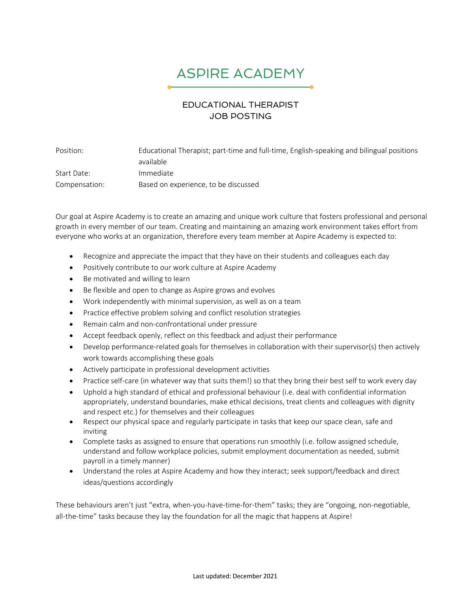## ASPIRE ACADEMY

## EDUCATIONAL THERAPIST JOB POSTING

Position: Educational Therapist; part-time and full-time, English-speaking and bilingual positions available Start Date: Immediate Compensation: Based on experience, to be discussed

Our goal at Aspire Academy is to create an amazing and unique work culture that fosters professional and personal growth in every member of our team. Creating and maintaining an amazing work environment takes effort from everyone who works at an organization, therefore every team member at Aspire Academy is expected to:

- Recognize and appreciate the impact that they have on their students and colleagues each day
- Positively contribute to our work culture at Aspire Academy
- Be motivated and willing to learn
- Be flexible and open to change as Aspire grows and evolves
- Work independently with minimal supervision, as well as on a team
- Practice effective problem solving and conflict resolution strategies
- Remain calm and non-confrontational under pressure
- Accept feedback openly, reflect on this feedback and adjust their performance
- Develop performance-related goals for themselves in collaboration with their supervisor(s) then actively work towards accomplishing these goals
- Actively participate in professional development activities
- Practice self-care (in whatever way that suits them!) so that they bring their best self to work every day
- Uphold a high standard of ethical and professional behaviour (i.e. deal with confidential information appropriately, understand boundaries, make ethical decisions, treat clients and colleagues with dignity and respect etc.) for themselves and their colleagues
- Respect our physical space and regularly participate in tasks that keep our space clean, safe and inviting
- Complete tasks as assigned to ensure that operations run smoothly (i.e. follow assigned schedule, understand and follow workplace policies, submit employment documentation as needed, submit payroll in a timely manner)
- Understand the roles at Aspire Academy and how they interact; seek support/feedback and direct ideas/questions accordingly

These behaviours aren't just "extra, when-you-have-time-for-them" tasks; they are "ongoing, non-negotiable, all-the-time" tasks because they lay the foundation for all the magic that happens at Aspire!